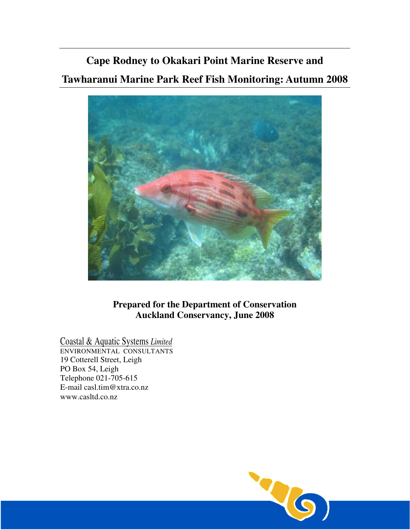# **Cape Rodney to Okakari Point Marine Reserve and Tawharanui Marine Park Reef Fish Monitoring: Autumn 2008**



**Prepared for the Department of Conservation Auckland Conservancy, June 2008** 

Coastal & Aquatic Systems *Limited*

ENVIRONMENTAL CONSULTANTS 19 Cotterell Street, Leigh PO Box 54, Leigh Telephone 021-705-615 E-mail casl.tim@xtra.co.nz www.casltd.co.nz

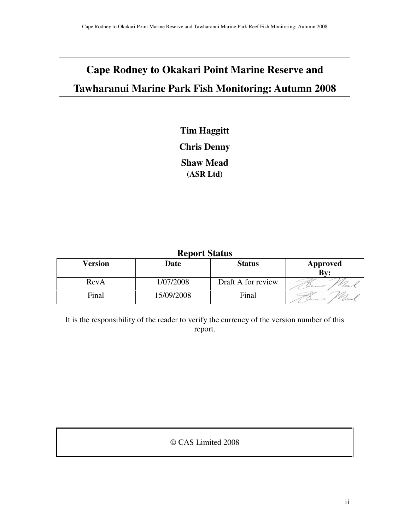## **Cape Rodney to Okakari Point Marine Reserve and Tawharanui Marine Park Fish Monitoring: Autumn 2008**

## **Tim Haggitt Chris Denny Shaw Mead (ASR Ltd)**

| <b>Report Status</b> |             |                    |          |  |  |  |
|----------------------|-------------|--------------------|----------|--|--|--|
| Version              | <b>Date</b> | <b>Status</b>      | Approved |  |  |  |
|                      |             |                    | Bv:      |  |  |  |
| RevA                 | 1/07/2008   | Draft A for review |          |  |  |  |
| Final                | 15/09/2008  | Final              | hno      |  |  |  |

It is the responsibility of the reader to verify the currency of the version number of this report.

## © CAS Limited 2008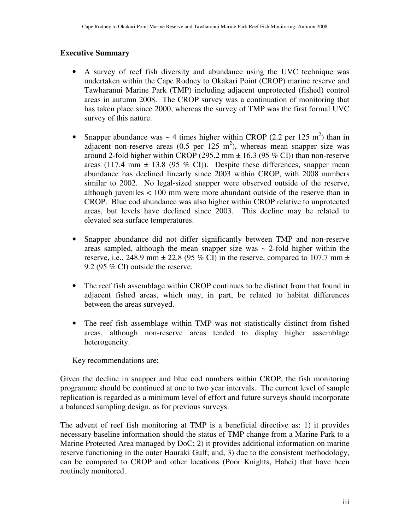## **Executive Summary**

- A survey of reef fish diversity and abundance using the UVC technique was undertaken within the Cape Rodney to Okakari Point (CROP) marine reserve and Tawharanui Marine Park (TMP) including adjacent unprotected (fished) control areas in autumn 2008. The CROP survey was a continuation of monitoring that has taken place since 2000, whereas the survey of TMP was the first formal UVC survey of this nature.
- Snapper abundance was  $\sim$  4 times higher within CROP (2.2 per 125 m<sup>2</sup>) than in adjacent non-reserve areas  $(0.5 \text{ per } 125 \text{ m}^2)$ , whereas mean snapper size was around 2-fold higher within CROP (295.2 mm  $\pm$  16.3 (95 % CI)) than non-reserve areas (117.4 mm  $\pm$  13.8 (95 % CI)). Despite these differences, snapper mean abundance has declined linearly since 2003 within CROP, with 2008 numbers similar to 2002. No legal-sized snapper were observed outside of the reserve, although juveniles < 100 mm were more abundant outside of the reserve than in CROP. Blue cod abundance was also higher within CROP relative to unprotected areas, but levels have declined since 2003. This decline may be related to elevated sea surface temperatures.
- Snapper abundance did not differ significantly between TMP and non-reserve areas sampled, although the mean snapper size was  $\sim$  2-fold higher within the reserve, i.e., 248.9 mm  $\pm$  22.8 (95 % CI) in the reserve, compared to 107.7 mm  $\pm$ 9.2 (95 % CI) outside the reserve.
- The reef fish assemblage within CROP continues to be distinct from that found in adjacent fished areas, which may, in part, be related to habitat differences between the areas surveyed.
- The reef fish assemblage within TMP was not statistically distinct from fished areas, although non-reserve areas tended to display higher assemblage heterogeneity.

Key recommendations are:

Given the decline in snapper and blue cod numbers within CROP, the fish monitoring programme should be continued at one to two year intervals. The current level of sample replication is regarded as a minimum level of effort and future surveys should incorporate a balanced sampling design, as for previous surveys.

The advent of reef fish monitoring at TMP is a beneficial directive as: 1) it provides necessary baseline information should the status of TMP change from a Marine Park to a Marine Protected Area managed by DoC; 2) it provides additional information on marine reserve functioning in the outer Hauraki Gulf; and, 3) due to the consistent methodology, can be compared to CROP and other locations (Poor Knights, Hahei) that have been routinely monitored.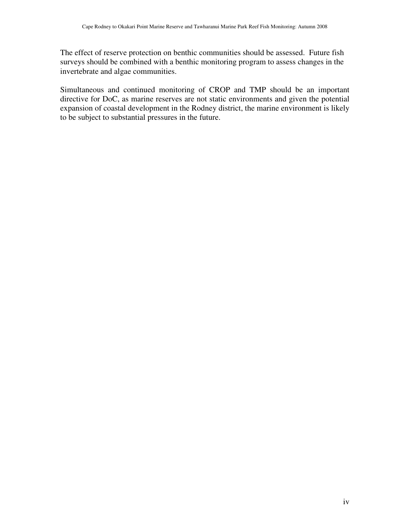The effect of reserve protection on benthic communities should be assessed. Future fish surveys should be combined with a benthic monitoring program to assess changes in the invertebrate and algae communities.

Simultaneous and continued monitoring of CROP and TMP should be an important directive for DoC, as marine reserves are not static environments and given the potential expansion of coastal development in the Rodney district, the marine environment is likely to be subject to substantial pressures in the future.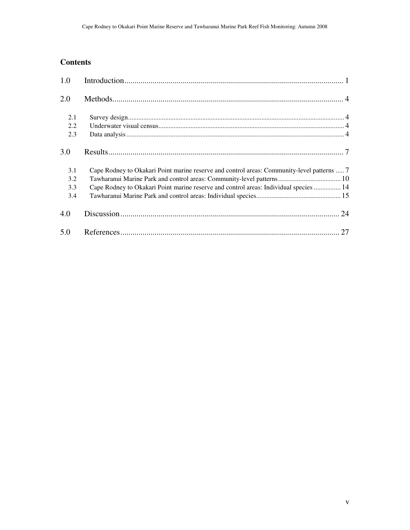## **Contents**

| 1.0 |                                                                                            |  |
|-----|--------------------------------------------------------------------------------------------|--|
| 2.0 |                                                                                            |  |
| 2.1 |                                                                                            |  |
| 2.2 |                                                                                            |  |
| 2.3 |                                                                                            |  |
| 3.0 |                                                                                            |  |
| 3.1 | Cape Rodney to Okakari Point marine reserve and control areas: Community-level patterns  7 |  |
| 3.2 | Tawharanui Marine Park and control areas: Community-level patterns 10                      |  |
| 3.3 | Cape Rodney to Okakari Point marine reserve and control areas: Individual species  14      |  |
| 3.4 |                                                                                            |  |
| 4.0 |                                                                                            |  |
| 5.0 |                                                                                            |  |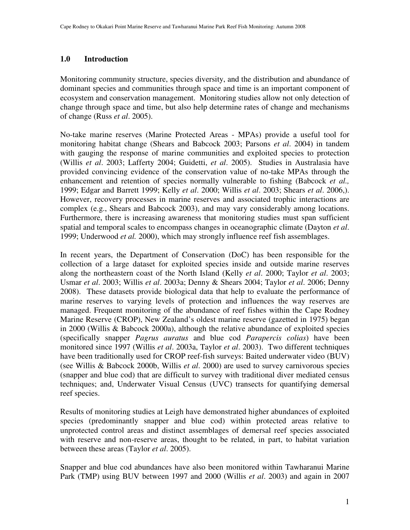#### **1.0 Introduction**

Monitoring community structure, species diversity, and the distribution and abundance of dominant species and communities through space and time is an important component of ecosystem and conservation management. Monitoring studies allow not only detection of change through space and time, but also help determine rates of change and mechanisms of change (Russ *et al*. 2005).

No-take marine reserves (Marine Protected Areas - MPAs) provide a useful tool for monitoring habitat change (Shears and Babcock 2003; Parsons *et al*. 2004) in tandem with gauging the response of marine communities and exploited species to protection (Willis *et al*. 2003; Lafferty 2004; Guidetti, *et al*. 2005). Studies in Australasia have provided convincing evidence of the conservation value of no-take MPAs through the enhancement and retention of species normally vulnerable to fishing (Babcock *et al.,* 1999; Edgar and Barrett 1999; Kelly *et al*. 2000; Willis *et al*. 2003; Shears *et al*. 2006,). However, recovery processes in marine reserves and associated trophic interactions are complex (e.g., Shears and Babcock 2003), and may vary considerably among locations. Furthermore, there is increasing awareness that monitoring studies must span sufficient spatial and temporal scales to encompass changes in oceanographic climate (Dayton *et al*. 1999; Underwood *et al.* 2000), which may strongly influence reef fish assemblages.

In recent years, the Department of Conservation (DoC) has been responsible for the collection of a large dataset for exploited species inside and outside marine reserves along the northeastern coast of the North Island (Kelly *et al*. 2000; Taylor *et al*. 2003; Usmar *et al*. 2003; Willis *et al*. 2003a; Denny & Shears 2004; Taylor *et al*. 2006; Denny 2008). These datasets provide biological data that help to evaluate the performance of marine reserves to varying levels of protection and influences the way reserves are managed. Frequent monitoring of the abundance of reef fishes within the Cape Rodney Marine Reserve (CROP), New Zealand's oldest marine reserve (gazetted in 1975) began in 2000 (Willis & Babcock 2000a), although the relative abundance of exploited species (specifically snapper *Pagrus auratus* and blue cod *Parapercis colias*) have been monitored since 1997 (Willis *et al*. 2003a, Taylor *et al*. 2003). Two different techniques have been traditionally used for CROP reef-fish surveys: Baited underwater video (BUV) (see Willis & Babcock 2000b, Willis *et al*. 2000) are used to survey carnivorous species (snapper and blue cod) that are difficult to survey with traditional diver mediated census techniques; and, Underwater Visual Census (UVC) transects for quantifying demersal reef species.

Results of monitoring studies at Leigh have demonstrated higher abundances of exploited species (predominantly snapper and blue cod) within protected areas relative to unprotected control areas and distinct assemblages of demersal reef species associated with reserve and non-reserve areas, thought to be related, in part, to habitat variation between these areas (Taylor *et al*. 2005).

Snapper and blue cod abundances have also been monitored within Tawharanui Marine Park (TMP) using BUV between 1997 and 2000 (Willis *et al*. 2003) and again in 2007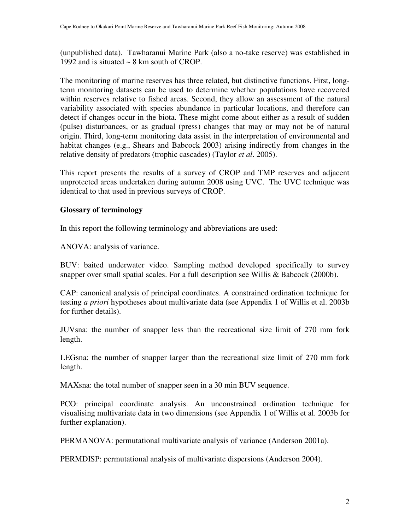(unpublished data). Tawharanui Marine Park (also a no-take reserve) was established in 1992 and is situated ~ 8 km south of CROP.

The monitoring of marine reserves has three related, but distinctive functions. First, longterm monitoring datasets can be used to determine whether populations have recovered within reserves relative to fished areas. Second, they allow an assessment of the natural variability associated with species abundance in particular locations, and therefore can detect if changes occur in the biota. These might come about either as a result of sudden (pulse) disturbances, or as gradual (press) changes that may or may not be of natural origin. Third, long-term monitoring data assist in the interpretation of environmental and habitat changes (e.g., Shears and Babcock 2003) arising indirectly from changes in the relative density of predators (trophic cascades) (Taylor *et al*. 2005).

This report presents the results of a survey of CROP and TMP reserves and adjacent unprotected areas undertaken during autumn 2008 using UVC. The UVC technique was identical to that used in previous surveys of CROP.

## **Glossary of terminology**

In this report the following terminology and abbreviations are used:

ANOVA: analysis of variance.

BUV: baited underwater video. Sampling method developed specifically to survey snapper over small spatial scales. For a full description see Willis & Babcock (2000b).

CAP: canonical analysis of principal coordinates. A constrained ordination technique for testing *a priori* hypotheses about multivariate data (see Appendix 1 of Willis et al. 2003b for further details).

JUVsna: the number of snapper less than the recreational size limit of 270 mm fork length.

LEGsna: the number of snapper larger than the recreational size limit of 270 mm fork length.

MAXsna: the total number of snapper seen in a 30 min BUV sequence.

PCO: principal coordinate analysis. An unconstrained ordination technique for visualising multivariate data in two dimensions (see Appendix 1 of Willis et al. 2003b for further explanation).

PERMANOVA: permutational multivariate analysis of variance (Anderson 2001a).

PERMDISP: permutational analysis of multivariate dispersions (Anderson 2004).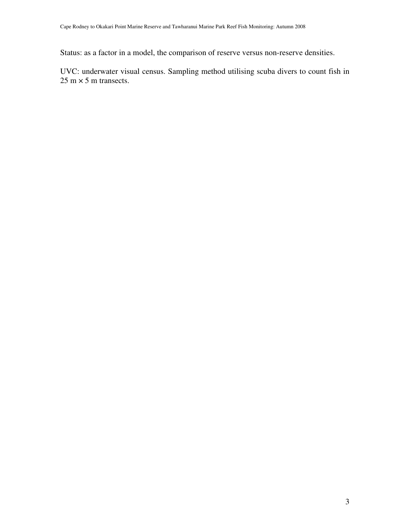Status: as a factor in a model, the comparison of reserve versus non-reserve densities.

UVC: underwater visual census. Sampling method utilising scuba divers to count fish in  $25 \text{ m} \times 5 \text{ m}$  transects.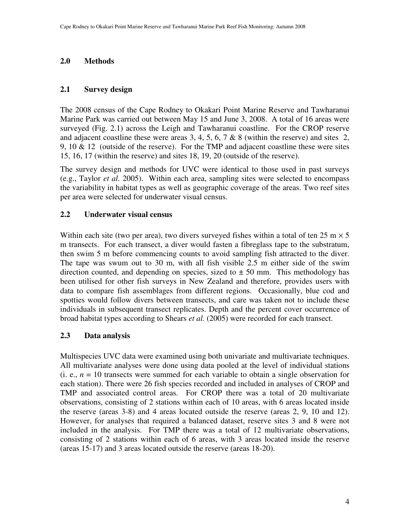## **2.0 Methods**

## **2.1 Survey design**

The 2008 census of the Cape Rodney to Okakari Point Marine Reserve and Tawharanui Marine Park was carried out between May 15 and June 3, 2008. A total of 16 areas were surveyed (Fig. 2.1) across the Leigh and Tawharanui coastline. For the CROP reserve and adjacent coastline these were areas 3, 4, 5, 6, 7 & 8 (within the reserve) and sites 2, 9, 10  $\&$  12 (outside of the reserve). For the TMP and adjacent coastline these were sites 15, 16, 17 (within the reserve) and sites 18, 19, 20 (outside of the reserve).

The survey design and methods for UVC were identical to those used in past surveys (e.g., Taylor *et al.* 2005). Within each area, sampling sites were selected to encompass the variability in habitat types as well as geographic coverage of the areas. Two reef sites per area were selected for underwater visual census.

## **2.2 Underwater visual census**

Within each site (two per area), two divers surveyed fishes within a total of ten  $25 \text{ m} \times 5$ m transects. For each transect, a diver would fasten a fibreglass tape to the substratum, then swim 5 m before commencing counts to avoid sampling fish attracted to the diver. The tape was swum out to 30 m, with all fish visible 2.5 m either side of the swim direction counted, and depending on species, sized to  $\pm$  50 mm. This methodology has been utilised for other fish surveys in New Zealand and therefore, provides users with data to compare fish assemblages from different regions. Occasionally, blue cod and spotties would follow divers between transects, and care was taken not to include these individuals in subsequent transect replicates. Depth and the percent cover occurrence of broad habitat types according to Shears *et al.* (2005) were recorded for each transect.

## **2.3 Data analysis**

Multispecies UVC data were examined using both univariate and multivariate techniques. All multivariate analyses were done using data pooled at the level of individual stations (i. e.,  $n = 10$  transects were summed for each variable to obtain a single observation for each station). There were 26 fish species recorded and included in analyses of CROP and TMP and associated control areas. For CROP there was a total of 20 multivariate observations, consisting of 2 stations within each of 10 areas, with 6 areas located inside the reserve (areas 3-8) and 4 areas located outside the reserve (areas 2, 9, 10 and 12). However, for analyses that required a balanced dataset, reserve sites 3 and 8 were not included in the analysis. For TMP there was a total of 12 multivariate observations, consisting of 2 stations within each of 6 areas, with 3 areas located inside the reserve (areas 15-17) and 3 areas located outside the reserve (areas 18-20).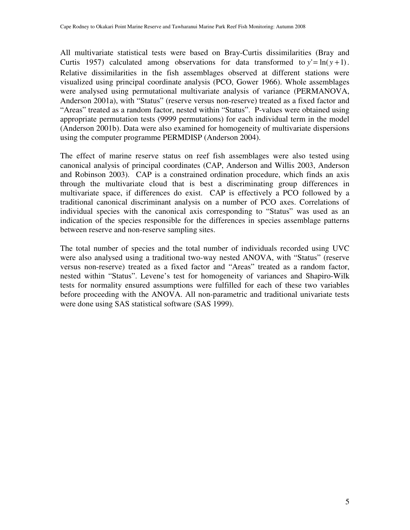All multivariate statistical tests were based on Bray-Curtis dissimilarities (Bray and Curtis 1957) calculated among observations for data transformed to  $y' = \ln(y + 1)$ . Relative dissimilarities in the fish assemblages observed at different stations were visualized using principal coordinate analysis (PCO, Gower 1966). Whole assemblages were analysed using permutational multivariate analysis of variance (PERMANOVA, Anderson 2001a), with "Status" (reserve versus non-reserve) treated as a fixed factor and "Areas" treated as a random factor, nested within "Status". P-values were obtained using appropriate permutation tests (9999 permutations) for each individual term in the model (Anderson 2001b). Data were also examined for homogeneity of multivariate dispersions using the computer programme PERMDISP (Anderson 2004).

The effect of marine reserve status on reef fish assemblages were also tested using canonical analysis of principal coordinates (CAP, Anderson and Willis 2003, Anderson and Robinson 2003). CAP is a constrained ordination procedure, which finds an axis through the multivariate cloud that is best a discriminating group differences in multivariate space, if differences do exist. CAP is effectively a PCO followed by a traditional canonical discriminant analysis on a number of PCO axes. Correlations of individual species with the canonical axis corresponding to "Status" was used as an indication of the species responsible for the differences in species assemblage patterns between reserve and non-reserve sampling sites.

The total number of species and the total number of individuals recorded using UVC were also analysed using a traditional two-way nested ANOVA, with "Status" (reserve versus non-reserve) treated as a fixed factor and "Areas" treated as a random factor, nested within "Status". Levene's test for homogeneity of variances and Shapiro-Wilk tests for normality ensured assumptions were fulfilled for each of these two variables before proceeding with the ANOVA. All non-parametric and traditional univariate tests were done using SAS statistical software (SAS 1999).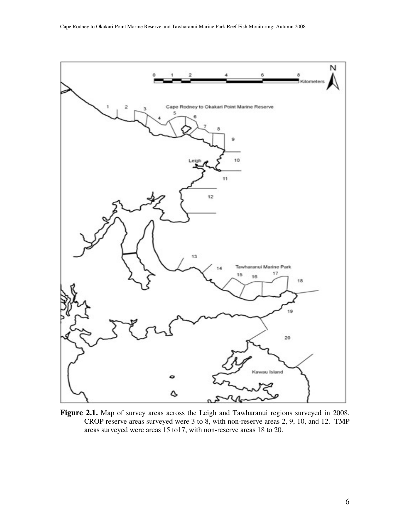

**Figure 2.1.** Map of survey areas across the Leigh and Tawharanui regions surveyed in 2008. CROP reserve areas surveyed were 3 to 8, with non-reserve areas 2, 9, 10, and 12. TMP areas surveyed were areas 15 to17, with non-reserve areas 18 to 20.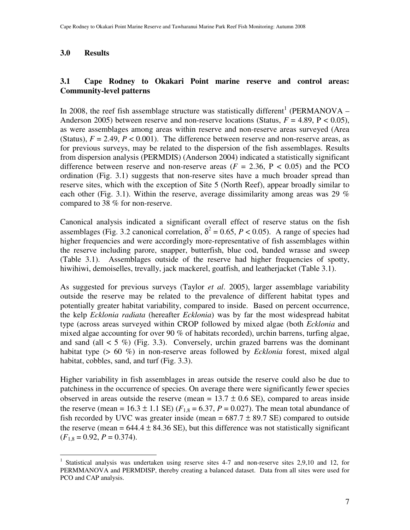### **3.0 Results**

## **3.1 Cape Rodney to Okakari Point marine reserve and control areas: Community-level patterns**

In 2008, the reef fish assemblage structure was statistically different<sup>1</sup> (PERMANOVA – Anderson 2005) between reserve and non-reserve locations (Status,  $F = 4.89$ ,  $P < 0.05$ ), as were assemblages among areas within reserve and non-reserve areas surveyed (Area (Status),  $F = 2.49$ ,  $P < 0.001$ ). The difference between reserve and non-reserve areas, as for previous surveys, may be related to the dispersion of the fish assemblages. Results from dispersion analysis (PERMDIS) (Anderson 2004) indicated a statistically significant difference between reserve and non-reserve areas  $(F = 2.36, P < 0.05)$  and the PCO ordination (Fig. 3.1) suggests that non-reserve sites have a much broader spread than reserve sites, which with the exception of Site 5 (North Reef), appear broadly similar to each other (Fig. 3.1). Within the reserve, average dissimilarity among areas was 29  $\%$ compared to 38 % for non-reserve.

Canonical analysis indicated a significant overall effect of reserve status on the fish assemblages (Fig. 3.2 canonical correlation,  $\delta^2 = 0.65$ ,  $P < 0.05$ ). A range of species had higher frequencies and were accordingly more-representative of fish assemblages within the reserve including parore, snapper, butterfish, blue cod, banded wrasse and sweep (Table 3.1). Assemblages outside of the reserve had higher frequencies of spotty, hiwihiwi, demoiselles, trevally, jack mackerel, goatfish, and leatherjacket (Table 3.1).

As suggested for previous surveys (Taylor *et al*. 2005), larger assemblage variability outside the reserve may be related to the prevalence of different habitat types and potentially greater habitat variability, compared to inside. Based on percent occurrence, the kelp *Ecklonia radiata* (hereafter *Ecklonia*) was by far the most widespread habitat type (across areas surveyed within CROP followed by mixed algae (both *Ecklonia* and mixed algae accounting for over 90 % of habitats recorded), urchin barrens, turfing algae, and sand (all  $\lt 5$  %) (Fig. 3.3). Conversely, urchin grazed barrens was the dominant habitat type (> 60 %) in non-reserve areas followed by *Ecklonia* forest, mixed algal habitat, cobbles, sand, and turf (Fig. 3.3).

Higher variability in fish assemblages in areas outside the reserve could also be due to patchiness in the occurrence of species. On average there were significantly fewer species observed in areas outside the reserve (mean =  $13.7 \pm 0.6$  SE), compared to areas inside the reserve (mean =  $16.3 \pm 1.1$  SE) ( $F_{1,8} = 6.37$ ,  $P = 0.027$ ). The mean total abundance of fish recorded by UVC was greater inside (mean =  $687.7 \pm 89.7$  SE) compared to outside the reserve (mean  $= 644.4 \pm 84.36$  SE), but this difference was not statistically significant  $(F_{1,8} = 0.92, P = 0.374).$ 

 $\overline{a}$ <sup>1</sup> Statistical analysis was undertaken using reserve sites 4-7 and non-reserve sites 2,9,10 and 12, for PERMMANOVA and PERMDISP, thereby creating a balanced dataset. Data from all sites were used for PCO and CAP analysis.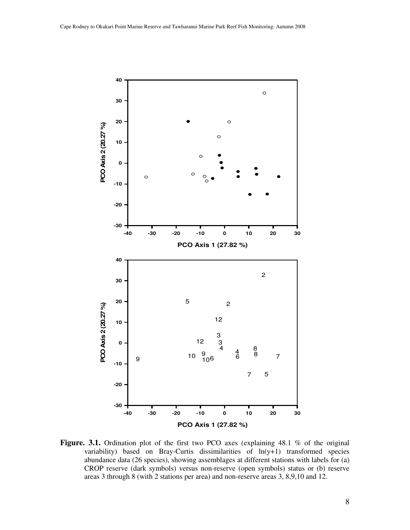

Figure. 3.1. Ordination plot of the first two PCO axes (explaining 48.1 % of the original variability) based on Bray-Curtis dissimilarities of ln(y+1) transformed species abundance data (26 species), showing assemblages at different stations with labels for (a) CROP reserve (dark symbols) versus non-reserve (open symbols) status or (b) reserve areas 3 through 8 (with 2 stations per area) and non-reserve areas 3, 8,9,10 and 12.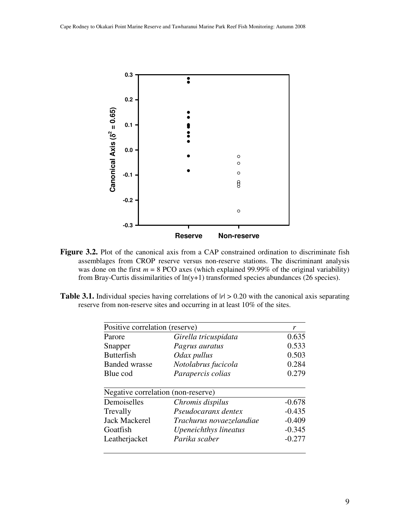

Figure 3.2. Plot of the canonical axis from a CAP constrained ordination to discriminate fish assemblages from CROP reserve versus non-reserve stations. The discriminant analysis was done on the first  $m = 8$  PCO axes (which explained 99.99% of the original variability) from Bray-Curtis dissimilarities of ln(y+1) transformed species abundances (26 species).

**Table 3.1.** Individual species having correlations of  $|r| > 0.20$  with the canonical axis separating reserve from non-reserve sites and occurring in at least 10% of the sites.

| Positive correlation (reserve)     |                          | r        |
|------------------------------------|--------------------------|----------|
| Parore                             | Girella tricuspidata     | 0.635    |
| Snapper                            | Pagrus auratus           | 0.533    |
| <b>Butterfish</b>                  | Odax pullus              | 0.503    |
| <b>Banded wrasse</b>               | Notolabrus fucicola      | 0.284    |
| Blue cod                           | Parapercis colias        | 0.279    |
| Negative correlation (non-reserve) |                          |          |
| Demoiselles                        | Chromis dispilus         | $-0.678$ |
| Trevally                           | Pseudocaranx dentex      | $-0.435$ |
| <b>Jack Mackerel</b>               | Trachurus novaezelandiae | $-0.409$ |
| Goatfish                           | Upeneichthys lineatus    | $-0.345$ |
| Leatherjacket                      | Parika scaber            | $-0.277$ |
|                                    |                          |          |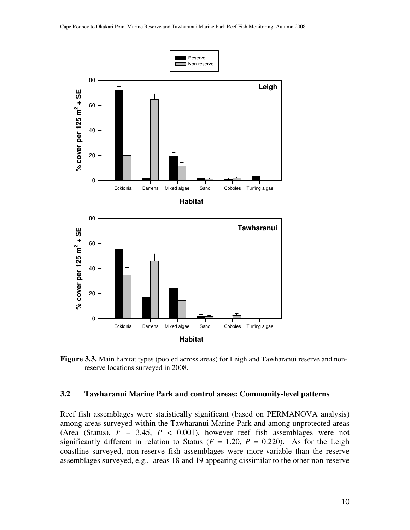

**Figure 3.3.** Main habitat types (pooled across areas) for Leigh and Tawharanui reserve and nonreserve locations surveyed in 2008.

#### **3.2 Tawharanui Marine Park and control areas: Community-level patterns**

Reef fish assemblages were statistically significant (based on PERMANOVA analysis) among areas surveyed within the Tawharanui Marine Park and among unprotected areas (Area (Status),  $F = 3.45$ ,  $P < 0.001$ ), however reef fish assemblages were not significantly different in relation to Status ( $F = 1.20$ ,  $P = 0.220$ ). As for the Leigh coastline surveyed, non-reserve fish assemblages were more-variable than the reserve assemblages surveyed, e.g., areas 18 and 19 appearing dissimilar to the other non-reserve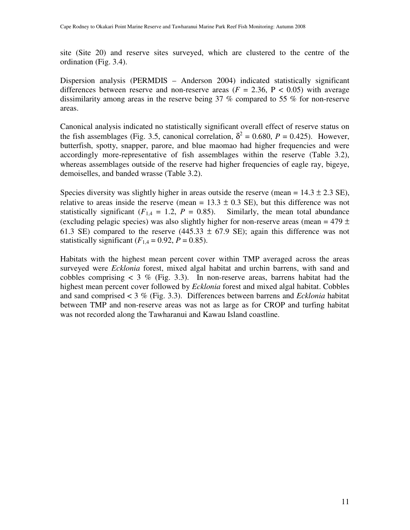site (Site 20) and reserve sites surveyed, which are clustered to the centre of the ordination (Fig. 3.4).

Dispersion analysis (PERMDIS – Anderson 2004) indicated statistically significant differences between reserve and non-reserve areas  $(F = 2.36, P < 0.05)$  with average dissimilarity among areas in the reserve being 37 % compared to 55 % for non-reserve areas.

Canonical analysis indicated no statistically significant overall effect of reserve status on the fish assemblages (Fig. 3.5, canonical correlation,  $\delta^2 = 0.680$ ,  $P = 0.425$ ). However, butterfish, spotty, snapper, parore, and blue maomao had higher frequencies and were accordingly more-representative of fish assemblages within the reserve (Table 3.2), whereas assemblages outside of the reserve had higher frequencies of eagle ray, bigeye, demoiselles, and banded wrasse (Table 3.2).

Species diversity was slightly higher in areas outside the reserve (mean =  $14.3 \pm 2.3$  SE), relative to areas inside the reserve (mean =  $13.3 \pm 0.3$  SE), but this difference was not statistically significant  $(F_{1,4} = 1.2, P = 0.85)$ . Similarly, the mean total abundance (excluding pelagic species) was also slightly higher for non-reserve areas (mean =  $479 \pm$ 61.3 SE) compared to the reserve (445.33  $\pm$  67.9 SE); again this difference was not statistically significant  $(F_{1,4} = 0.92, P = 0.85)$ .

Habitats with the highest mean percent cover within TMP averaged across the areas surveyed were *Ecklonia* forest, mixed algal habitat and urchin barrens, with sand and cobbles comprising  $\lt 3$  % (Fig. 3.3). In non-reserve areas, barrens habitat had the highest mean percent cover followed by *Ecklonia* forest and mixed algal habitat. Cobbles and sand comprised < 3 % (Fig. 3.3). Differences between barrens and *Ecklonia* habitat between TMP and non-reserve areas was not as large as for CROP and turfing habitat was not recorded along the Tawharanui and Kawau Island coastline.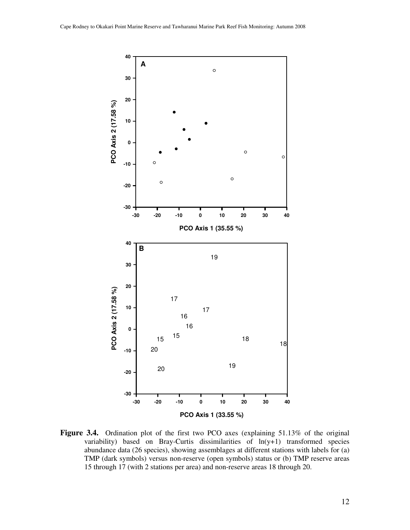

**Figure 3.4.** Ordination plot of the first two PCO axes (explaining 51.13% of the original variability) based on Bray-Curtis dissimilarities of ln(y+1) transformed species abundance data (26 species), showing assemblages at different stations with labels for (a) TMP (dark symbols) versus non-reserve (open symbols) status or (b) TMP reserve areas 15 through 17 (with 2 stations per area) and non-reserve areas 18 through 20.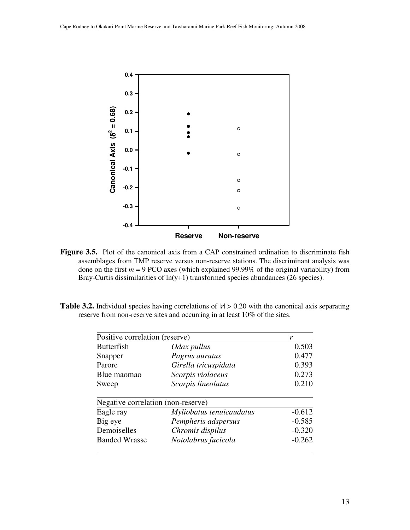

Figure 3.5. Plot of the canonical axis from a CAP constrained ordination to discriminate fish assemblages from TMP reserve versus non-reserve stations. The discriminant analysis was done on the first  $m = 9$  PCO axes (which explained 99.99% of the original variability) from Bray-Curtis dissimilarities of  $ln(y+1)$  transformed species abundances (26 species).

**Table 3.2.** Individual species having correlations of  $|r| > 0.20$  with the canonical axis separating reserve from non-reserve sites and occurring in at least 10% of the sites.

| Positive correlation (reserve)     |                          | r        |
|------------------------------------|--------------------------|----------|
| <b>Butterfish</b>                  | Odax pullus              | 0.503    |
| Snapper                            | Pagrus auratus           | 0.477    |
| Parore                             | Girella tricuspidata     | 0.393    |
| Blue maomao                        | Scorpis violaceus        | 0.273    |
| Sweep                              | Scorpis lineolatus       | 0.210    |
| Negative correlation (non-reserve) |                          |          |
| Eagle ray                          | Myliobatus tenuicaudatus | $-0.612$ |
| Big eye                            | Pempheris adspersus      | $-0.585$ |
| Demoiselles                        | Chromis dispilus         | $-0.320$ |
| <b>Banded Wrasse</b>               | Notolabrus fucicola      | $-0.262$ |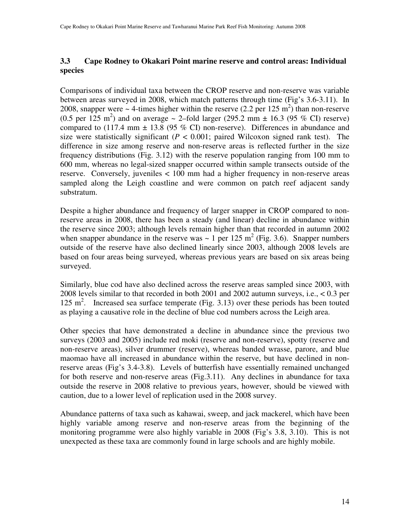## **3.3 Cape Rodney to Okakari Point marine reserve and control areas: Individual species**

Comparisons of individual taxa between the CROP reserve and non-reserve was variable between areas surveyed in 2008, which match patterns through time (Fig's 3.6-3.11). In 2008, snapper were  $\sim$  4-times higher within the reserve (2.2 per 125 m<sup>2</sup>) than non-reserve  $(0.5 \text{ per } 125 \text{ m}^2)$  and on average  $\sim$  2-fold larger (295.2 mm  $\pm$  16.3 (95 % CI) reserve) compared to (117.4 mm  $\pm$  13.8 (95 % CI) non-reserve). Differences in abundance and size were statistically significant  $(P < 0.001$ ; paired Wilcoxon signed rank test). The difference in size among reserve and non-reserve areas is reflected further in the size frequency distributions (Fig. 3.12) with the reserve population ranging from 100 mm to 600 mm, whereas no legal-sized snapper occurred within sample transects outside of the reserve. Conversely, juveniles < 100 mm had a higher frequency in non-reserve areas sampled along the Leigh coastline and were common on patch reef adjacent sandy substratum.

Despite a higher abundance and frequency of larger snapper in CROP compared to nonreserve areas in 2008, there has been a steady (and linear) decline in abundance within the reserve since 2003; although levels remain higher than that recorded in autumn 2002 when snapper abundance in the reserve was  $\sim 1$  per 125 m<sup>2</sup> (Fig. 3.6). Snapper numbers outside of the reserve have also declined linearly since 2003, although 2008 levels are based on four areas being surveyed, whereas previous years are based on six areas being surveyed.

Similarly, blue cod have also declined across the reserve areas sampled since 2003, with 2008 levels similar to that recorded in both 2001 and 2002 autumn surveys, i.e., < 0.3 per 125 m<sup>2</sup>. Increased sea surface temperate (Fig. 3.13) over these periods has been touted as playing a causative role in the decline of blue cod numbers across the Leigh area.

Other species that have demonstrated a decline in abundance since the previous two surveys (2003 and 2005) include red moki (reserve and non-reserve), spotty (reserve and non-reserve areas), silver drummer (reserve), whereas banded wrasse, parore, and blue maomao have all increased in abundance within the reserve, but have declined in nonreserve areas (Fig's 3.4-3.8). Levels of butterfish have essentially remained unchanged for both reserve and non-reserve areas (Fig.3.11). Any declines in abundance for taxa outside the reserve in 2008 relative to previous years, however, should be viewed with caution, due to a lower level of replication used in the 2008 survey.

Abundance patterns of taxa such as kahawai, sweep, and jack mackerel, which have been highly variable among reserve and non-reserve areas from the beginning of the monitoring programme were also highly variable in 2008 (Fig's 3.8, 3.10). This is not unexpected as these taxa are commonly found in large schools and are highly mobile.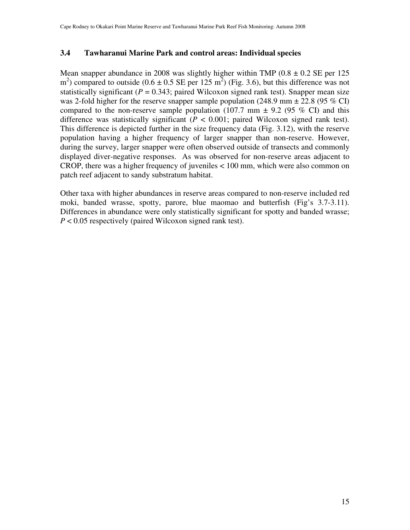## **3.4 Tawharanui Marine Park and control areas: Individual species**

Mean snapper abundance in 2008 was slightly higher within TMP  $(0.8 \pm 0.2 \text{ SE per } 125)$  $(m<sup>2</sup>)$  compared to outside (0.6  $\pm$  0.5 SE per 125 m<sup>2</sup>) (Fig. 3.6), but this difference was not statistically significant ( $P = 0.343$ ; paired Wilcoxon signed rank test). Snapper mean size was 2-fold higher for the reserve snapper sample population (248.9 mm  $\pm$  22.8 (95 % CI) compared to the non-reserve sample population (107.7 mm  $\pm$  9.2 (95 % CI) and this difference was statistically significant  $(P < 0.001$ ; paired Wilcoxon signed rank test). This difference is depicted further in the size frequency data (Fig. 3.12), with the reserve population having a higher frequency of larger snapper than non-reserve. However, during the survey, larger snapper were often observed outside of transects and commonly displayed diver-negative responses. As was observed for non-reserve areas adjacent to CROP, there was a higher frequency of juveniles < 100 mm, which were also common on patch reef adjacent to sandy substratum habitat.

Other taxa with higher abundances in reserve areas compared to non-reserve included red moki, banded wrasse, spotty, parore, blue maomao and butterfish (Fig's 3.7-3.11). Differences in abundance were only statistically significant for spotty and banded wrasse; *P* < 0.05 respectively (paired Wilcoxon signed rank test).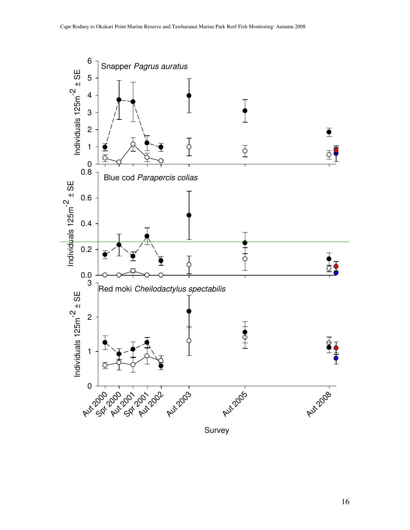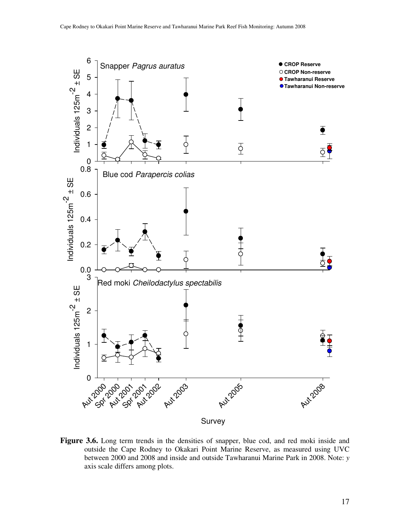

**Figure 3.6.** Long term trends in the densities of snapper, blue cod, and red moki inside and outside the Cape Rodney to Okakari Point Marine Reserve, as measured using UVC between 2000 and 2008 and inside and outside Tawharanui Marine Park in 2008. Note: *y* axis scale differs among plots.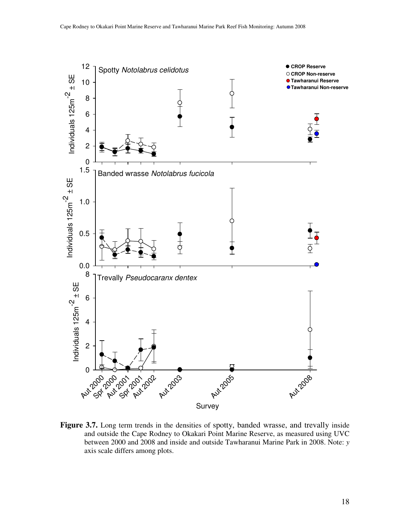

Figure 3.7. Long term trends in the densities of spotty, banded wrasse, and trevally inside and outside the Cape Rodney to Okakari Point Marine Reserve, as measured using UVC between 2000 and 2008 and inside and outside Tawharanui Marine Park in 2008. Note: *y* axis scale differs among plots.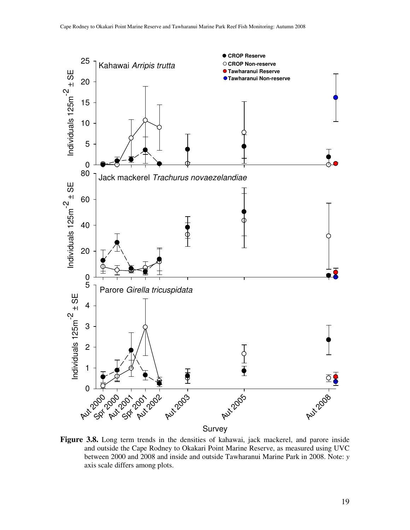

**Figure 3.8.** Long term trends in the densities of kahawai, jack mackerel, and parore inside and outside the Cape Rodney to Okakari Point Marine Reserve, as measured using UVC between 2000 and 2008 and inside and outside Tawharanui Marine Park in 2008. Note: *y* axis scale differs among plots.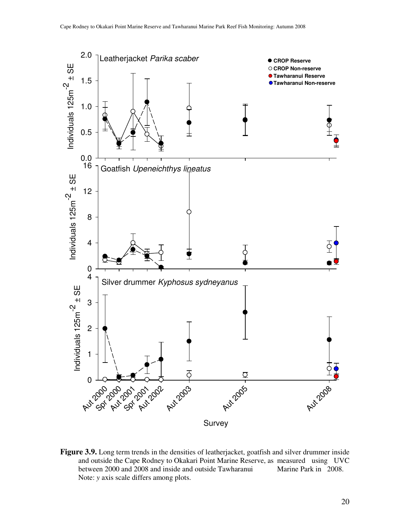

**Figure 3.9.** Long term trends in the densities of leatherjacket, goatfish and silver drummer inside and outside the Cape Rodney to Okakari Point Marine Reserve, as measured using UVC between 2000 and 2008 and inside and outside Tawharanui Marine Park in 2008. Note: *y* axis scale differs among plots.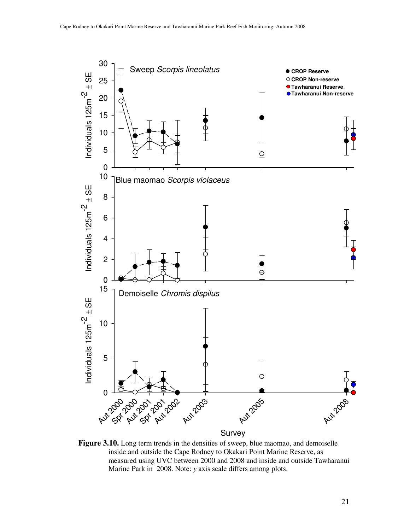

**Figure 3.10.** Long term trends in the densities of sweep, blue maomao, and demoiselle inside and outside the Cape Rodney to Okakari Point Marine Reserve, as measured using UVC between 2000 and 2008 and inside and outside Tawharanui Marine Park in 2008. Note: *y* axis scale differs among plots.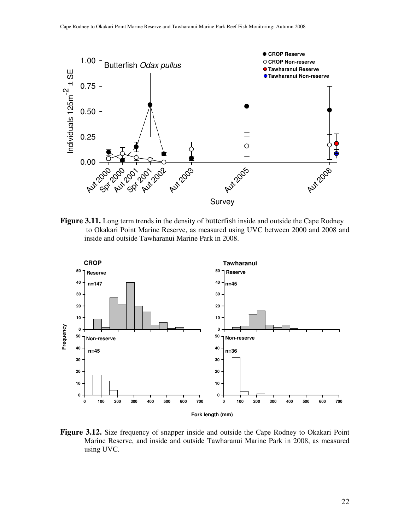

**Figure 3.11.** Long term trends in the density of butterfish inside and outside the Cape Rodney to Okakari Point Marine Reserve, as measured using UVC between 2000 and 2008 and inside and outside Tawharanui Marine Park in 2008.



Figure 3.12. Size frequency of snapper inside and outside the Cape Rodney to Okakari Point Marine Reserve, and inside and outside Tawharanui Marine Park in 2008, as measured using UVC.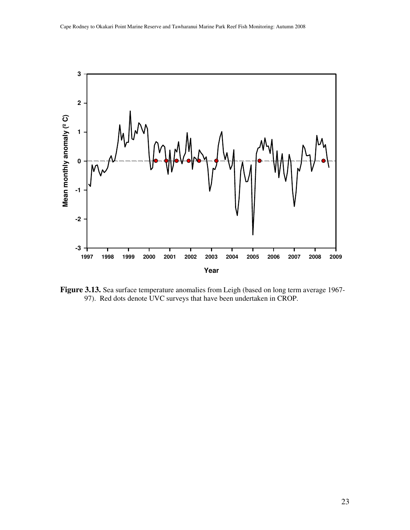

**Figure 3.13.** Sea surface temperature anomalies from Leigh (based on long term average 1967- 97). Red dots denote UVC surveys that have been undertaken in CROP.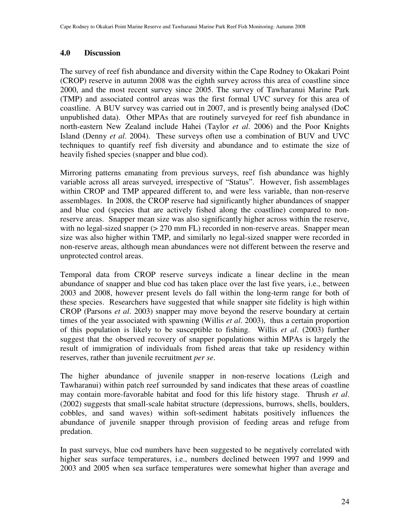### **4.0 Discussion**

The survey of reef fish abundance and diversity within the Cape Rodney to Okakari Point (CROP) reserve in autumn 2008 was the eighth survey across this area of coastline since 2000, and the most recent survey since 2005. The survey of Tawharanui Marine Park (TMP) and associated control areas was the first formal UVC survey for this area of coastline. A BUV survey was carried out in 2007, and is presently being analysed (DoC unpublished data). Other MPAs that are routinely surveyed for reef fish abundance in north-eastern New Zealand include Hahei (Taylor *et al*. 2006) and the Poor Knights Island (Denny *et al*. 2004). These surveys often use a combination of BUV and UVC techniques to quantify reef fish diversity and abundance and to estimate the size of heavily fished species (snapper and blue cod).

Mirroring patterns emanating from previous surveys, reef fish abundance was highly variable across all areas surveyed, irrespective of "Status". However, fish assemblages within CROP and TMP appeared different to, and were less variable, than non-reserve assemblages. In 2008, the CROP reserve had significantly higher abundances of snapper and blue cod (species that are actively fished along the coastline) compared to nonreserve areas. Snapper mean size was also significantly higher across within the reserve, with no legal-sized snapper ( $> 270$  mm FL) recorded in non-reserve areas. Snapper mean size was also higher within TMP, and similarly no legal-sized snapper were recorded in non-reserve areas, although mean abundances were not different between the reserve and unprotected control areas.

Temporal data from CROP reserve surveys indicate a linear decline in the mean abundance of snapper and blue cod has taken place over the last five years, i.e., between 2003 and 2008, however present levels do fall within the long-term range for both of these species. Researchers have suggested that while snapper site fidelity is high within CROP (Parsons *et al*. 2003) snapper may move beyond the reserve boundary at certain times of the year associated with spawning (Willis *et al*. 2003), thus a certain proportion of this population is likely to be susceptible to fishing. Willis *et al*. (2003) further suggest that the observed recovery of snapper populations within MPAs is largely the result of immigration of individuals from fished areas that take up residency within reserves, rather than juvenile recruitment *per se*.

The higher abundance of juvenile snapper in non-reserve locations (Leigh and Tawharanui) within patch reef surrounded by sand indicates that these areas of coastline may contain more-favorable habitat and food for this life history stage. Thrush *et al*. (2002) suggests that small-scale habitat structure (depressions, burrows, shells, boulders, cobbles, and sand waves) within soft-sediment habitats positively influences the abundance of juvenile snapper through provision of feeding areas and refuge from predation.

In past surveys, blue cod numbers have been suggested to be negatively correlated with higher seas surface temperatures, i.e., numbers declined between 1997 and 1999 and 2003 and 2005 when sea surface temperatures were somewhat higher than average and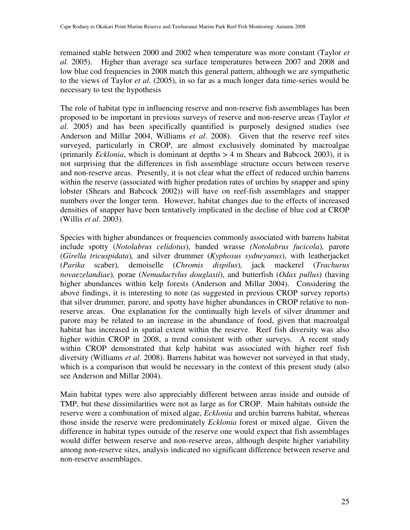remained stable between 2000 and 2002 when temperature was more constant (Taylor *et al.* 2005). Higher than average sea surface temperatures between 2007 and 2008 and low blue cod frequencies in 2008 match this general pattern, although we are sympathetic to the views of Taylor *et al.* (2005), in so far as a much longer data time-series would be necessary to test the hypothesis

The role of habitat type in influencing reserve and non-reserve fish assemblages has been proposed to be important in previous surveys of reserve and non-reserve areas (Taylor *et al*. 2005) and has been specifically quantified is purposely designed studies (see Anderson and Millar 2004, Williams *et al*. 2008). Given that the reserve reef sites surveyed, particularly in CROP, are almost exclusively dominated by macroalgae (primarily *Ecklonia*, which is dominant at depths > 4 m Shears and Babcock 2003), it is not surprising that the differences in fish assemblage structure occurs between reserve and non-reserve areas. Presently, it is not clear what the effect of reduced urchin barrens within the reserve (associated with higher predation rates of urchins by snapper and spiny lobster (Shears and Babcock 2002)) will have on reef-fish assemblages and snapper numbers over the longer term. However, habitat changes due to the effects of increased densities of snapper have been tentatively implicated in the decline of blue cod at CROP (Willis *et al*. 2003).

Species with higher abundances or frequencies commonly associated with barrens habitat include spotty (*Notolabrus celidotus*), banded wrasse *(Notolabrus fucicola*)*,* parore (*Girella tricuspidata*)*,* and silver drummer (*Kyphosus sydneyanus*), with leatherjacket (*Parika* scaber)*,* demoiselle (*Chromis dispilus*)*,* jack mackerel (*Trachurus novaezelandiae*)*,* porae (*Nemadactylus douglasii*), and butterfish (*Odax pullus*) (having higher abundances within kelp forests (Anderson and Millar 2004). Considering the above findings, it is interesting to note (as suggested in previous CROP survey reports) that silver drummer*,* parore, and spotty have higher abundances in CROP relative to nonreserve areas. One explanation for the continually high levels of silver drummer and parore may be related to an increase in the abundance of food, given that macroalgal habitat has increased in spatial extent within the reserve. Reef fish diversity was also higher within CROP in 2008, a trend consistent with other surveys. A recent study within CROP demonstrated that kelp habitat was associated with higher reef fish diversity (Williams *et al*. 2008). Barrens habitat was however not surveyed in that study, which is a comparison that would be necessary in the context of this present study (also see Anderson and Millar 2004).

Main habitat types were also appreciably different between areas inside and outside of TMP, but these dissimilarities were not as large as for CROP. Main habitats outside the reserve were a combination of mixed algae, *Ecklonia* and urchin barrens habitat, whereas those inside the reserve were predominately *Ecklonia* forest or mixed algae. Given the difference in habitat types outside of the reserve one would expect that fish assemblages would differ between reserve and non-reserve areas, although despite higher variability among non-reserve sites, analysis indicated no significant difference between reserve and non-reserve assemblages.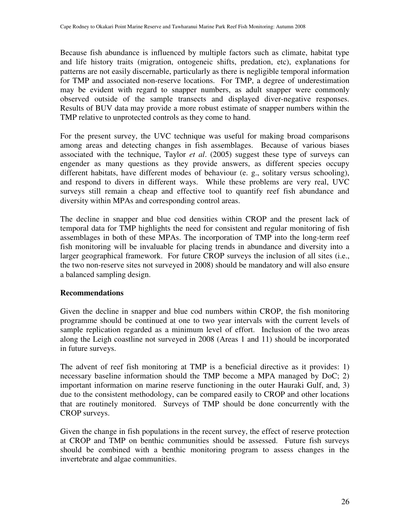Because fish abundance is influenced by multiple factors such as climate, habitat type and life history traits (migration, ontogeneic shifts, predation, etc), explanations for patterns are not easily discernable, particularly as there is negligible temporal information for TMP and associated non-reserve locations. For TMP, a degree of underestimation may be evident with regard to snapper numbers, as adult snapper were commonly observed outside of the sample transects and displayed diver-negative responses. Results of BUV data may provide a more robust estimate of snapper numbers within the TMP relative to unprotected controls as they come to hand.

For the present survey, the UVC technique was useful for making broad comparisons among areas and detecting changes in fish assemblages. Because of various biases associated with the technique, Taylor *et al*. (2005) suggest these type of surveys can engender as many questions as they provide answers, as different species occupy different habitats, have different modes of behaviour (e. g., solitary versus schooling), and respond to divers in different ways. While these problems are very real, UVC surveys still remain a cheap and effective tool to quantify reef fish abundance and diversity within MPAs and corresponding control areas.

The decline in snapper and blue cod densities within CROP and the present lack of temporal data for TMP highlights the need for consistent and regular monitoring of fish assemblages in both of these MPAs. The incorporation of TMP into the long-term reef fish monitoring will be invaluable for placing trends in abundance and diversity into a larger geographical framework. For future CROP surveys the inclusion of all sites (i.e., the two non-reserve sites not surveyed in 2008) should be mandatory and will also ensure a balanced sampling design.

## **Recommendations**

Given the decline in snapper and blue cod numbers within CROP, the fish monitoring programme should be continued at one to two year intervals with the current levels of sample replication regarded as a minimum level of effort. Inclusion of the two areas along the Leigh coastline not surveyed in 2008 (Areas 1 and 11) should be incorporated in future surveys.

The advent of reef fish monitoring at TMP is a beneficial directive as it provides: 1) necessary baseline information should the TMP become a MPA managed by DoC; 2) important information on marine reserve functioning in the outer Hauraki Gulf, and, 3) due to the consistent methodology, can be compared easily to CROP and other locations that are routinely monitored. Surveys of TMP should be done concurrently with the CROP surveys.

Given the change in fish populations in the recent survey, the effect of reserve protection at CROP and TMP on benthic communities should be assessed. Future fish surveys should be combined with a benthic monitoring program to assess changes in the invertebrate and algae communities.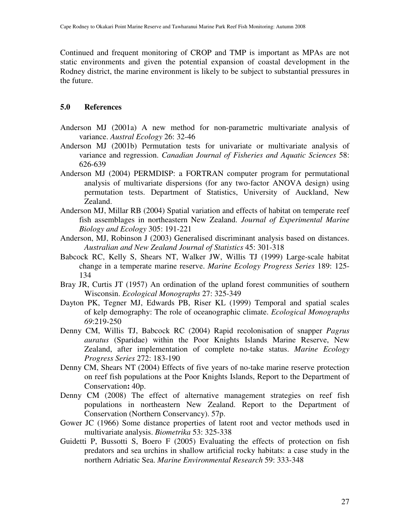Continued and frequent monitoring of CROP and TMP is important as MPAs are not static environments and given the potential expansion of coastal development in the Rodney district, the marine environment is likely to be subject to substantial pressures in the future.

#### **5.0 References**

- Anderson MJ (2001a) A new method for non-parametric multivariate analysis of variance. *Austral Ecology* 26: 32-46
- Anderson MJ (2001b) Permutation tests for univariate or multivariate analysis of variance and regression. *Canadian Journal of Fisheries and Aquatic Sciences* 58: 626-639
- Anderson MJ (2004) PERMDISP: a FORTRAN computer program for permutational analysis of multivariate dispersions (for any two-factor ANOVA design) using permutation tests. Department of Statistics, University of Auckland, New Zealand.
- Anderson MJ, Millar RB (2004) Spatial variation and effects of habitat on temperate reef fish assemblages in northeastern New Zealand. *Journal of Experimental Marine Biology and Ecology* 305: 191-221
- Anderson, MJ, Robinson J (2003) Generalised discriminant analysis based on distances. *Australian and New Zealand Journal of Statistics* 45: 301-318
- Babcock RC, Kelly S, Shears NT, Walker JW, Willis TJ (1999) Large-scale habitat change in a temperate marine reserve. *Marine Ecology Progress Series* 189: 125- 134
- Bray JR, Curtis JT (1957) An ordination of the upland forest communities of southern Wisconsin. *Ecological Monographs* 27: 325-349
- Dayton PK, Tegner MJ, Edwards PB, Riser KL (1999) Temporal and spatial scales of kelp demography: The role of oceanographic climate. *Ecological Monographs 69*:219-250
- Denny CM, Willis TJ, Babcock RC (2004) Rapid recolonisation of snapper *Pagrus auratus* (Sparidae) within the Poor Knights Islands Marine Reserve, New Zealand, after implementation of complete no-take status. *Marine Ecology Progress Series* 272: 183-190
- Denny CM, Shears NT (2004) Effects of five years of no-take marine reserve protection on reef fish populations at the Poor Knights Islands, Report to the Department of Conservation**:** 40p.
- Denny CM (2008) The effect of alternative management strategies on reef fish populations in northeastern New Zealand. Report to the Department of Conservation (Northern Conservancy). 57p.
- Gower JC (1966) Some distance properties of latent root and vector methods used in multivariate analysis. *Biometrika* 53: 325-338
- Guidetti P, Bussotti S, Boero F (2005) Evaluating the effects of protection on fish predators and sea urchins in shallow artificial rocky habitats: a case study in the northern Adriatic Sea. *Marine Environmental Research* 59: 333-348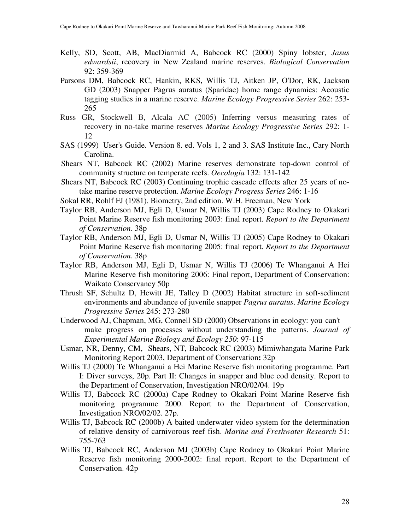- Kelly, SD, Scott, AB, MacDiarmid A, Babcock RC (2000) Spiny lobster, *Jasus edwardsii*, recovery in New Zealand marine reserves. *Biological Conservation* 92: 359-369
- Parsons DM, Babcock RC, Hankin, RKS, Willis TJ, Aitken JP, O'Dor, RK, Jackson GD (2003) Snapper Pagrus auratus (Sparidae) home range dynamics: Acoustic tagging studies in a marine reserve. *Marine Ecology Progressive Series* 262: 253- 265
- Russ GR, Stockwell B, Alcala AC (2005) Inferring versus measuring rates of recovery in no-take marine reserves *Marine Ecology Progressive Series* 292: 1- 12
- SAS (1999) User's Guide. Version 8. ed. Vols 1, 2 and 3. SAS Institute Inc., Cary North Carolina.
- Shears NT, Babcock RC (2002) Marine reserves demonstrate top-down control of community structure on temperate reefs. *Oecologia* 132: 131-142
- Shears NT, Babcock RC (2003) Continuing trophic cascade effects after 25 years of notake marine reserve protection. *Marine Ecology Progress Series* 246: 1-16
- Sokal RR, Rohlf FJ (1981). Biometry, 2nd edition. W.H. Freeman, New York
- Taylor RB, Anderson MJ, Egli D, Usmar N, Willis TJ (2003) Cape Rodney to Okakari Point Marine Reserve fish monitoring 2003: final report. *Report to the Department of Conservation*. 38p
- Taylor RB, Anderson MJ, Egli D, Usmar N, Willis TJ (2005) Cape Rodney to Okakari Point Marine Reserve fish monitoring 2005: final report. *Report to the Department of Conservation*. 38p
- Taylor RB, Anderson MJ, Egli D, Usmar N, Willis TJ (2006) Te Whanganui A Hei Marine Reserve fish monitoring 2006: Final report, Department of Conservation: Waikato Conservancy 50p
- Thrush SF, Schultz D, Hewitt JE, Talley D (2002) Habitat structure in soft-sediment environments and abundance of juvenile snapper *Pagrus auratus*. *Marine Ecology Progressive Series* 245: 273-280
- Underwood AJ, Chapman, MG, Connell SD (2000) Observations in ecology: you can't make progress on processes without understanding the patterns. *Journal of Experimental Marine Biology and Ecology 250*: 97-115
- Usmar, NR, Denny, CM, Shears, NT, Babcock RC (2003) Mimiwhangata Marine Park Monitoring Report 2003, Department of Conservation**:** 32p
- Willis TJ (2000) Te Whanganui a Hei Marine Reserve fish monitoring programme. Part I: Diver surveys, 20p. Part II: Changes in snapper and blue cod density. Report to the Department of Conservation, Investigation NRO/02/04. 19p
- Willis TJ, Babcock RC (2000a) Cape Rodney to Okakari Point Marine Reserve fish monitoring programme 2000. Report to the Department of Conservation, Investigation NRO/02/02. 27p.
- Willis TJ, Babcock RC (2000b) A baited underwater video system for the determination of relative density of carnivorous reef fish. *Marine and Freshwater Research* 51: 755-763
- Willis TJ, Babcock RC, Anderson MJ (2003b) Cape Rodney to Okakari Point Marine Reserve fish monitoring 2000-2002: final report. Report to the Department of Conservation. 42p